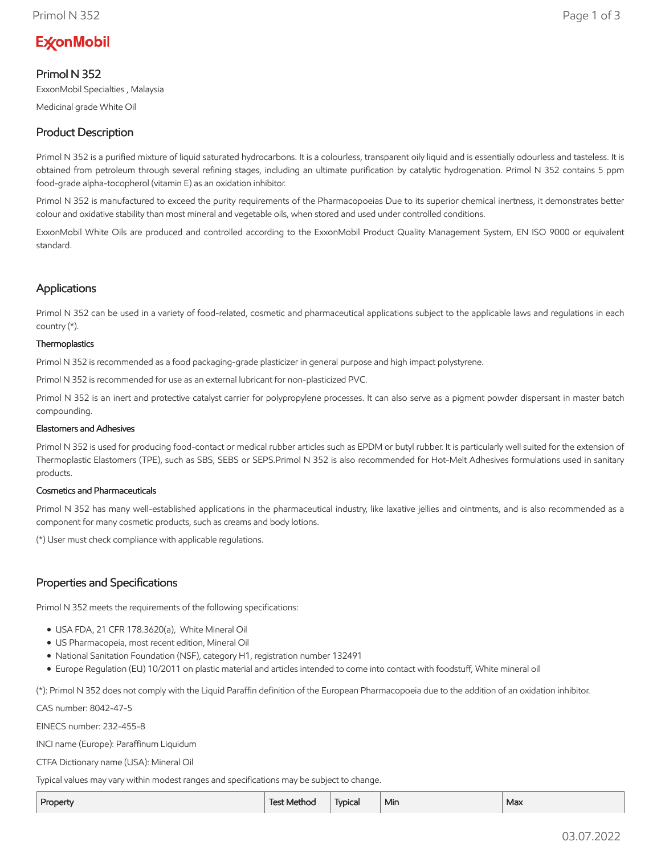# **ExconMobil**

# Primol N 352

ExxonMobil Specialties , Malaysia

Medicinal grade White Oil

# Product Description

Primol N 352 is a purified mixture of liquid saturated hydrocarbons. It is a colourless, transparent oily liquid and is essentially odourless and tasteless. It is obtained from petroleum through several refining stages, including an ultimate purification by catalytic hydrogenation. Primol N 352 contains 5 ppm food-grade alpha-tocopherol (vitamin E) as an oxidation inhibitor.

Primol N 352 is manufactured to exceed the purity requirements of the Pharmacopoeias Due to its superior chemical inertness, it demonstrates better colour and oxidative stability than most mineral and vegetable oils, when stored and used under controlled conditions.

ExxonMobil White Oils are produced and controlled according to the ExxonMobil Product Quality Management System, EN ISO 9000 or equivalent standard.

## Applications

Primol N 352 can be used in a variety of food-related, cosmetic and pharmaceutical applications subject to the applicable laws and regulations in each country (\*).

#### **Thermoplastics**

Primol N 352 is recommended as a food packaging-grade plasticizer in general purpose and high impact polystyrene.

Primol N 352 is recommended for use as an external lubricant for non-plasticized PVC.

Primol N 352 is an inert and protective catalyst carrier for polypropylene processes. It can also serve as a pigment powder dispersant in master batch compounding.

#### Elastomers and Adhesives

Primol N 352 is used for producing food-contact or medical rubber articles such as EPDM or butyl rubber. It is particularly well suited for the extension of Thermoplastic Elastomers (TPE), such as SBS, SEBS or SEPS.Primol N 352 is also recommended for Hot-Melt Adhesives formulations used in sanitary products.

#### Cosmetics and Pharmaceuticals

Primol N 352 has many well-established applications in the pharmaceutical industry, like laxative jellies and ointments, and is also recommended as a component for many cosmetic products, such as creams and body lotions.

(\*) User must check compliance with applicable regulations.

## Properties and Specifications

Primol N 352 meets the requirements of the following specifications:

- USA FDA, 21 CFR 178.3620(a), White Mineral Oil
- US Pharmacopeia, most recent edition, Mineral Oil
- National Sanitation Foundation (NSF), category H1, registration number 132491
- Europe Regulation (EU) 10/2011 on plastic material and articles intended to come into contact with foodstuff, White mineral oil

(\*): Primol N 352 does not comply with the Liquid Paraffin definition of the European Pharmacopoeia due to the addition of an oxidation inhibitor.

CAS number: 8042-47-5

EINECS number: 232-455-8

INCI name (Europe): Paraffinum Liquidum

CTFA Dictionary name (USA): Mineral Oil

Typical values may vary within modest ranges and specifications may be subject to change.

| Property | Fest Method | Typical | Min | Max |
|----------|-------------|---------|-----|-----|
|----------|-------------|---------|-----|-----|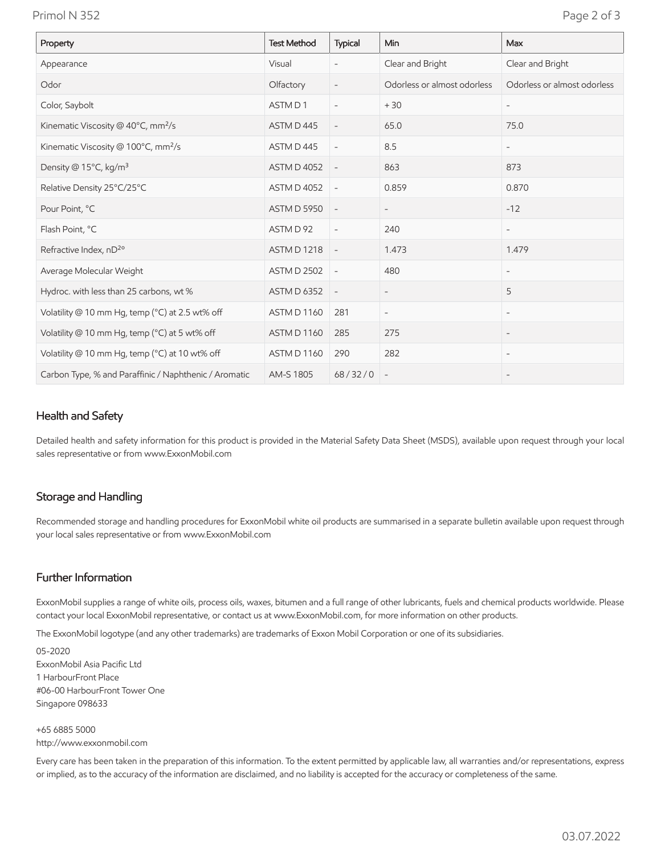Primol N 352 Page 2 of 3

| Property                                              | <b>Test Method</b> | Typical                  | Min                         | Max                         |
|-------------------------------------------------------|--------------------|--------------------------|-----------------------------|-----------------------------|
| Appearance                                            | Visual             | $\overline{\phantom{0}}$ | Clear and Bright            | Clear and Bright            |
| Odor                                                  | Olfactory          | $\overline{\phantom{a}}$ | Odorless or almost odorless | Odorless or almost odorless |
| Color, Saybolt                                        | ASTM D1            | $\overline{\phantom{a}}$ | $+30$                       |                             |
| Kinematic Viscosity @ 40°C, mm <sup>2</sup> /s        | ASTM D445          | $\overline{\phantom{a}}$ | 65.0                        | 75.0                        |
| Kinematic Viscosity @ 100°C, mm <sup>2</sup> /s       | ASTM D445          | $\overline{\phantom{a}}$ | 8.5                         | $\overline{\phantom{a}}$    |
| Density @ 15°C, kg/m <sup>3</sup>                     | <b>ASTM D 4052</b> | $\overline{\phantom{a}}$ | 863                         | 873                         |
| Relative Density 25°C/25°C                            | <b>ASTM D 4052</b> | $\overline{\phantom{a}}$ | 0.859                       | 0.870                       |
| Pour Point, °C                                        | <b>ASTM D 5950</b> | $\overline{\phantom{a}}$ | $\overline{\phantom{a}}$    | $-12$                       |
| Flash Point, °C                                       | ASTM D 92          | $\overline{\phantom{a}}$ | 240                         | $\overline{\phantom{a}}$    |
| Refractive Index, nD <sup>2o</sup>                    | <b>ASTM D 1218</b> | $\overline{\phantom{a}}$ | 1.473                       | 1.479                       |
| Average Molecular Weight                              | <b>ASTM D 2502</b> | $\overline{\phantom{a}}$ | 480                         | $\overline{\phantom{a}}$    |
| Hydroc. with less than 25 carbons, wt %               | <b>ASTM D 6352</b> | $\overline{\phantom{a}}$ | $\overline{\phantom{a}}$    | 5                           |
| Volatility @ 10 mm Hg, temp (°C) at 2.5 wt% off       | ASTM D 1160        | 281                      | $\overline{\phantom{a}}$    | $\overline{\phantom{0}}$    |
| Volatility @ 10 mm Hg, temp (°C) at 5 wt% off         | ASTM D 1160        | 285                      | 275                         |                             |
| Volatility @ 10 mm Hg, temp (°C) at 10 wt% off        | ASTM D 1160        | 290                      | 282                         | $\overline{\phantom{0}}$    |
| Carbon Type, % and Paraffinic / Naphthenic / Aromatic | AM-S 1805          | 68/32/0                  |                             |                             |

## Health and Safety

Detailed health and safety information for this product is provided in the Material Safety Data Sheet (MSDS), available upon request through your local sales representative or from www.ExxonMobil.com

#### Storage and Handling

Recommended storage and handling procedures for ExxonMobil white oil products are summarised in a separate bulletin available upon request through your local sales representative or from www.ExxonMobil.com

### Further Information

ExxonMobil supplies a range of white oils, process oils, waxes, bitumen and a full range of other lubricants, fuels and chemical products worldwide. Please contact your local ExxonMobil representative, or contact us at www.ExxonMobil.com, for more information on other products.

The ExxonMobil logotype (and any other trademarks) are trademarks of Exxon Mobil Corporation or one of its subsidiaries.

05-2020 ExxonMobil Asia Pacific Ltd 1 HarbourFront Place #06-00 HarbourFront Tower One Singapore 098633

+65 6885 5000 http://www.exxonmobil.com

Every care has been taken in the preparation of this information. To the extent permitted by applicable law, all warranties and/or representations, express or implied, as to the accuracy of the information are disclaimed, and no liability is accepted for the accuracy or completeness of the same.